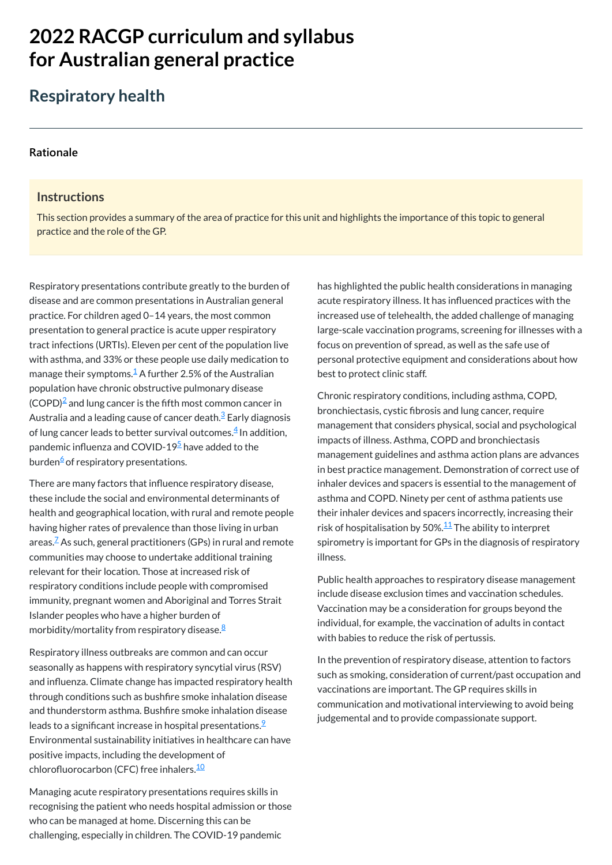# **2022 RACGP curriculum and syllabus for Australian [general practice](https://www.racgp.org.au/Curriculum-and-Syllabus/home)**

## **Respiratory health**

#### **[Rationale](javascript:void(0))**

## **Instructions**

Respiratory presentations contribute greatly to the burden of disease and are common presentations in Australian general practice. For children aged 0–14 years, the most common presentation to general practice is acute upper respiratory tract infections (URTIs). Eleven per cent of the population live with asthma, and 33% or these people use daily medication to manage their symptoms. $\frac{1}{2}$  $\frac{1}{2}$  $\frac{1}{2}$  A further 2.5% of the Australian population have chronic obstructive pulmonary disease  $\text{(COPD)}^2$  $\text{(COPD)}^2$  and lung cancer is the fifth most common cancer in Australia and a leading cause of cancer death.<sup>[3](#page-1-2)</sup> Early diagnosis of lung cancer leads to better survival outcomes. $\frac{4}{3}$  $\frac{4}{3}$  $\frac{4}{3}$  In addition, pandemic influenza and COVID-19<sup>[5](#page-1-4)</sup> have added to the burden<sup>[6](#page-1-5)</sup> of respiratory presentations.

This section provides a summary of the area of practice for this unit and highlights the importance of this topic to general practice and the role of the GP.

There are many factors that influence respiratory disease, these include the social and environmental determinants of health and geographical location, with rural and remote people having higher rates of prevalence than those living in urban areas. $^{\mathbb{Z}}$  As such, general practitioners (GPs) in rural and remote communities may choose to undertake additional training relevant for their location. Those at increased risk of respiratory conditions include people with compromised immunity, pregnant women and Aboriginal and Torres Strait Islander peoples who have a higher burden of morbidity/mortality from respiratory disease.<sup>[8](#page-1-7)</sup>

seasonally as happens with respiratory syncytial virus (RSV) and influenza. Climate change has impacted respiratory health through conditions such as bushfire smoke inhalation disease and thunderstorm asthma. Bushfire smoke inhalation disease leads to a significant increase in hospital presentations. $\frac{9}{2}$  $\frac{9}{2}$  $\frac{9}{2}$ Environmental sustainability initiatives in healthcare can have positive impacts, including the development of chlorofluorocarbon (CFC) free inhalers.<sup>[10](#page-1-9)</sup>

Respiratory illness outbreaks are common and can occur

Managing acute respiratory presentations requires skills in recognising the patient who needs hospital admission or those who can be managed at home. Discerning this can be challenging, especially in children. The COVID-19 pandemic

has highlighted the public health considerations in managing acute respiratory illness. It has influenced practices with the increased use of telehealth, the added challenge of managing large-scale vaccination programs, screening for illnesses with a focus on prevention of spread, as well as the safe use of personal protective equipment and considerations about how best to protect clinic staff.

Chronic respiratory conditions, including asthma, COPD, bronchiectasis, cystic fibrosis and lung cancer, require management that considers physical, social and psychological impacts of illness. Asthma, COPD and bronchiectasis management guidelines and asthma action plans are advances in best practice management. Demonstration of correct use of inhaler devices and spacers is essential to the management of asthma and COPD. Ninety per cent of asthma patients use their inhaler devices and spacers incorrectly, increasing their risk of hospitalisation by 50%. $^\mathsf{11}$  $^\mathsf{11}$  $^\mathsf{11}$  The ability to interpret spirometry is important for GPs in the diagnosis of respiratory illness.

Public health approaches to respiratory disease management include disease exclusion times and vaccination schedules. Vaccination may be a consideration for groups beyond the individual, for example, the vaccination of adults in contact with babies to reduce the risk of pertussis.

In the prevention of respiratory disease, attention to factors such as smoking, consideration of current/past occupation and vaccinations are important. The GP requires skills in communication and motivational interviewing to avoid being judgemental and to provide compassionate support.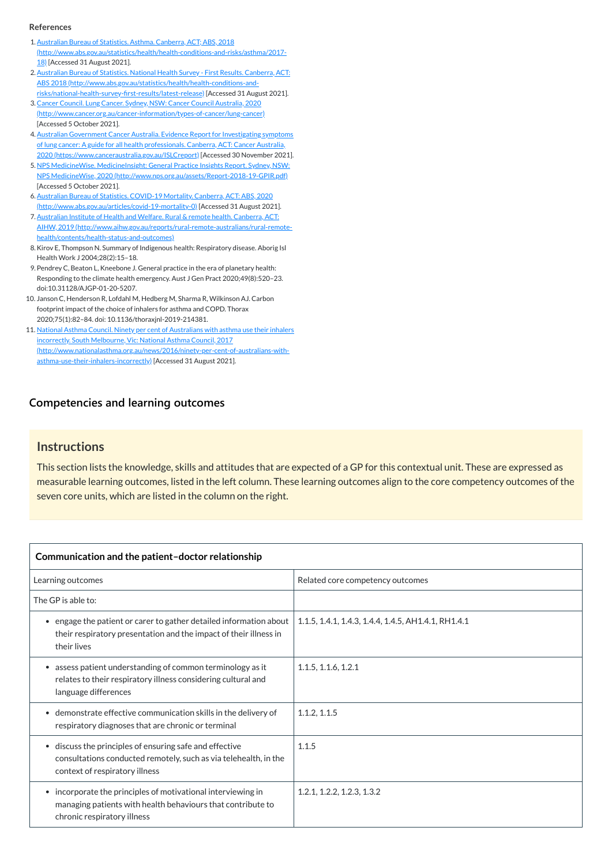## **[Competencies and learning outcomes](javascript:void(0))**

## **Instructions**

This section lists the knowledge, skills and attitudes that are expected of a GP for this contextual unit. These are expressed as measurable learning outcomes, listed in the left column. These learning outcomes align to the core competency outcomes of the seven core units, which are listed in the column on the right.

| Communication and the patient-doctor relationship                                                                                                      |                                                     |  |
|--------------------------------------------------------------------------------------------------------------------------------------------------------|-----------------------------------------------------|--|
| Learning outcomes                                                                                                                                      | Related core competency outcomes                    |  |
| The GP is able to:                                                                                                                                     |                                                     |  |
| engage the patient or carer to gather detailed information about  <br>their respiratory presentation and the impact of their illness in<br>their lives | 1.1.5, 1.4.1, 1.4.3, 1.4.4, 1.4.5, AH1.4.1, RH1.4.1 |  |

- <span id="page-1-0"></span>1.Australian Bureau of Statistics. Asthma. Canberra, ACT; ABS, 2018 [\(http://www.abs.gov.au/statistics/health/health-conditions-and-risks/asthma/2017-](http://www.abs.gov.au/statistics/health/health-conditions-and-risks/asthma/2017-18) 18) [Accessed 31 August 2021].
- <span id="page-1-1"></span>2. Australian Bureau of Statistics. National Health Survey - First Results. Canberra, ACT: ABS 2018 [\(http://www.abs.gov.au/statistics/health/health-conditions-and](http://www.abs.gov.au/statistics/health/health-conditions-and-risks/national-health-survey-first-results/latest-release)risks/national-health-survey-first-results/latest-release) [Accessed 31 August 2021].
- <span id="page-1-2"></span>3.Cancer Council. Lung Cancer. Sydney, NSW: Cancer Council Australia, 2020 [\(http://www.cancer.org.au/cancer-information/types-of-cancer/lung-cancer\)](http://www.cancer.org.au/cancer-information/types-of-cancer/lung-cancer) [Accessed 5 October 2021].
- <span id="page-1-3"></span>4.Australian Government Cancer Australia. Evidence Report for Investigating symptoms of lung cancer: A guide for all health professionals. Canberra, ACT: Cancer Australia, 2020 [\(https://www.canceraustralia.gov.au/ISLCreport\)](https://www.canceraustralia.gov.au/ISLCreport) [Accessed 30 November 2021].
- <span id="page-1-4"></span>5. NPS MedicineWise. MedicineInsight: General Practice Insights Report. Sydney, NSW: NPS MedicineWise, 2020 [\(http://www.nps.org.au/assets/Report-2018-19-GPIR.pdf\)](http://www.nps.org.au/assets/Report-2018-19-GPIR.pdf) [Accessed 5 October 2021].
- <span id="page-1-5"></span>6.Australian Bureau of Statistics. COVID-19 Mortality. Canberra, ACT: ABS, 2020 [\(http://www.abs.gov.au/articles/covid-19-mortality-0\)](http://www.abs.gov.au/articles/covid-19-mortality-0) [Accessed 31 August 2021].
- <span id="page-1-6"></span>7. Australian Institute of Health and Welfare. Rural & remote health. Canberra, ACT: AIHW, 2019 [\(http://www.aihw.gov.au/reports/rural-remote-australians/rural-remote](http://www.aihw.gov.au/reports/rural-remote-australians/rural-remote-health/contents/health-status-and-outcomes)health/contents/health-status-and-outcomes)
- <span id="page-1-7"></span>8.Kirov E, Thompson N. Summary of Indigenous health: Respiratory disease. Aborig Isl Health Work J 2004;28(2):15–18.
- <span id="page-1-8"></span>9. Pendrey C, Beaton L, Kneebone J. General practice in the era of planetary health: Responding to the climate health emergency. Aust J Gen Pract 2020;49(8):520–23. doi:10.31128/AJGP-01-20-5207.
- <span id="page-1-9"></span>10. Janson C, Henderson R, Lofdahl M, Hedberg M, Sharma R, Wilkinson AJ. Carbon footprint impact of the choice of inhalers for asthma and COPD. Thorax 2020;75(1):82–84. doi: 10.1136/thoraxjnl-2019-214381.
- <span id="page-1-10"></span>11. National Asthma Council. Ninety per cent of Australians with asthma use their inhalers incorrectly. South Melbourne, Vic: National Asthma Council, 2017 [\(http://www.nationalasthma.org.au/news/2016/ninety-per-cent-of-australians-with](http://www.nationalasthma.org.au/news/2016/ninety-per-cent-of-australians-with-asthma-use-their-inhalers-incorrectly)asthma-use-their-inhalers-incorrectly) [Accessed 31 August 2021].

| assess patient understanding of common terminology as it<br>$\bullet$<br>relates to their respiratory illness considering cultural and<br>language differences        | 1.1.5, 1.1.6, 1.2.1        |
|-----------------------------------------------------------------------------------------------------------------------------------------------------------------------|----------------------------|
| • demonstrate effective communication skills in the delivery of<br>respiratory diagnoses that are chronic or terminal                                                 | 1.1.2, 1.1.5               |
| • discuss the principles of ensuring safe and effective<br>consultations conducted remotely, such as via telehealth, in the<br>context of respiratory illness         | 1.1.5                      |
| incorporate the principles of motivational interviewing in<br>$\bullet$<br>managing patients with health behaviours that contribute to<br>chronic respiratory illness | 1.2.1, 1.2.2, 1.2.3, 1.3.2 |

#### **References**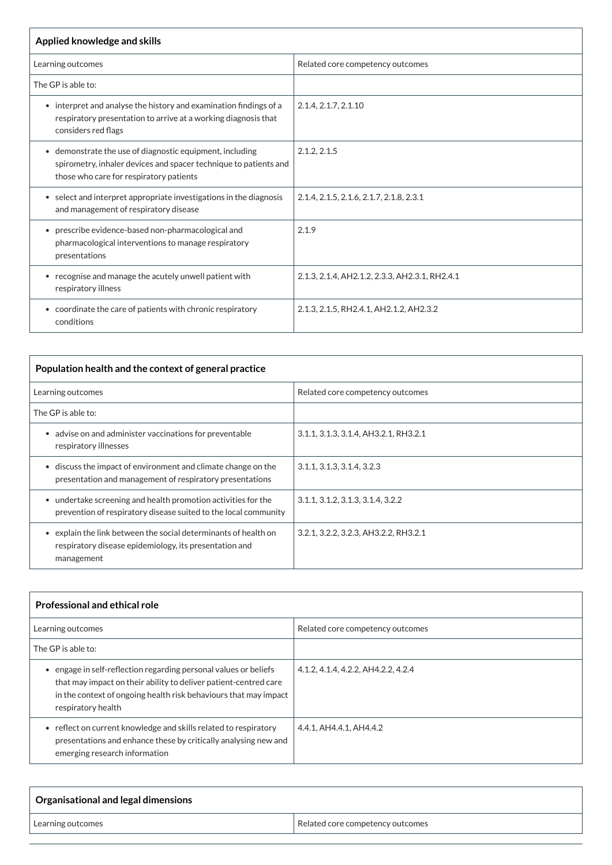| Applied knowledge and skills                                                                                                                                            |                                                |  |
|-------------------------------------------------------------------------------------------------------------------------------------------------------------------------|------------------------------------------------|--|
| Learning outcomes                                                                                                                                                       | Related core competency outcomes               |  |
| The GP is able to:                                                                                                                                                      |                                                |  |
| • interpret and analyse the history and examination findings of a<br>respiratory presentation to arrive at a working diagnosis that<br>considers red flags              | 2.1.4, 2.1.7, 2.1.10                           |  |
| • demonstrate the use of diagnostic equipment, including<br>spirometry, inhaler devices and spacer technique to patients and<br>those who care for respiratory patients | 2.1.2, 2.1.5                                   |  |
| • select and interpret appropriate investigations in the diagnosis<br>and management of respiratory disease                                                             | 2.1.4, 2.1.5, 2.1.6, 2.1.7, 2.1.8, 2.3.1       |  |
| • prescribe evidence-based non-pharmacological and<br>pharmacological interventions to manage respiratory<br>presentations                                              | 2.1.9                                          |  |
| • recognise and manage the acutely unwell patient with<br>respiratory illness                                                                                           | 2.1.3, 2.1.4, AH2.1.2, 2.3.3, AH2.3.1, RH2.4.1 |  |
| • coordinate the care of patients with chronic respiratory<br>conditions                                                                                                | 2.1.3, 2.1.5, RH2.4.1, AH2.1.2, AH2.3.2        |  |

| engage in self-reflection regarding personal values or beliefs<br>$\bullet$<br>that may impact on their ability to deliver patient-centred care<br>in the context of ongoing health risk behaviours that may impact<br>respiratory health | 4.1.2, 4.1.4, 4.2.2, AH4.2.2, 4.2.4 |
|-------------------------------------------------------------------------------------------------------------------------------------------------------------------------------------------------------------------------------------------|-------------------------------------|
| • reflect on current knowledge and skills related to respiratory<br>presentations and enhance these by critically analysing new and<br>emerging research information                                                                      | 4.4.1, AH4.4.1, AH4.4.2             |

| Population health and the context of general practice                                                                                       |                                       |  |
|---------------------------------------------------------------------------------------------------------------------------------------------|---------------------------------------|--|
| Learning outcomes                                                                                                                           | Related core competency outcomes      |  |
| The GP is able to:                                                                                                                          |                                       |  |
| advise on and administer vaccinations for preventable<br>respiratory illnesses                                                              | 3.1.1, 3.1.3, 3.1.4, AH3.2.1, RH3.2.1 |  |
| discuss the impact of environment and climate change on the<br>$\bullet$<br>presentation and management of respiratory presentations        | 3.1.1, 3.1.3, 3.1.4, 3.2.3            |  |
| undertake screening and health promotion activities for the<br>$\bullet$<br>prevention of respiratory disease suited to the local community | 3.1.1, 3.1.2, 3.1.3, 3.1.4, 3.2.2     |  |
| explain the link between the social determinants of health on<br>respiratory disease epidemiology, its presentation and<br>management       | 3.2.1, 3.2.2, 3.2.3, AH3.2.2, RH3.2.1 |  |

| <b>Professional and ethical role</b> |                                  |
|--------------------------------------|----------------------------------|
| Learning outcomes                    | Related core competency outcomes |
| $\mid$ The GP is able to:            |                                  |

| $\overline{\phantom{a}}$ Organisational and legal dimensions |                                  |
|--------------------------------------------------------------|----------------------------------|
| 'Learning outcomes                                           | Related core competency outcomes |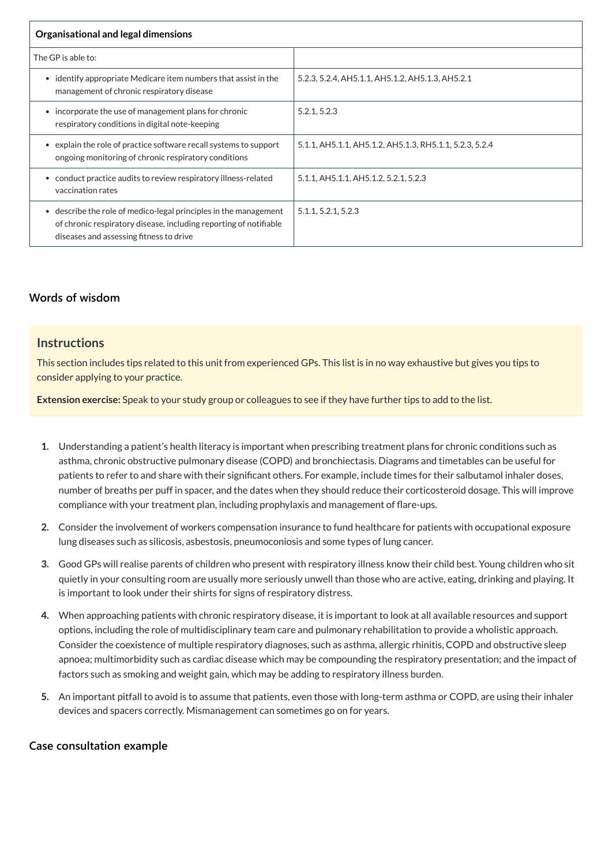| Organisational and legal dimensions                                                                                                                                              |                                                         |  |
|----------------------------------------------------------------------------------------------------------------------------------------------------------------------------------|---------------------------------------------------------|--|
| The GP is able to:                                                                                                                                                               |                                                         |  |
| identify appropriate Medicare item numbers that assist in the<br>$\bullet$<br>management of chronic respiratory disease                                                          | 5.2.3, 5.2.4, AH5.1.1, AH5.1.2, AH5.1.3, AH5.2.1        |  |
| incorporate the use of management plans for chronic<br>respiratory conditions in digital note-keeping                                                                            | 5.2.1, 5.2.3                                            |  |
| explain the role of practice software recall systems to support<br>$\bullet$<br>ongoing monitoring of chronic respiratory conditions                                             | 5.1.1, AH5.1.1, AH5.1.2, AH5.1.3, RH5.1.1, 5.2.3, 5.2.4 |  |
| conduct practice audits to review respiratory illness-related<br>$\bullet$<br>vaccination rates                                                                                  | 5.1.1, AH5.1.1, AH5.1.2, 5.2.1, 5.2.3                   |  |
| • describe the role of medico-legal principles in the management<br>of chronic respiratory disease, including reporting of notifiable<br>diseases and assessing fitness to drive | 5.1.1, 5.2.1, 5.2.3                                     |  |

## **[Words of wisdom](javascript:void(0))**

## **Instructions**

This section includes tips related to this unit from experienced GPs. This list is in no way exhaustive but gives you tips to consider applying to your practice.

**Extension exercise:** Speak to your study group or colleagues to see if they have further tips to add to the list.

- **1.** Understanding a patient's health literacy is important when prescribing treatment plans for chronic conditions such as asthma, chronic obstructive pulmonary disease (COPD) and bronchiectasis. Diagrams and timetables can be useful for patients to refer to and share with their significant others. For example, include times for their salbutamol inhaler doses, number of breaths per puff in spacer, and the dates when they should reduce their corticosteroid dosage. This will improve compliance with your treatment plan, including prophylaxis and management of flare-ups.
- **2.** Consider the involvement of workers compensation insurance to fund healthcare for patients with occupational exposure lung diseases such as silicosis, asbestosis, pneumoconiosis and some types of lung cancer.
- **3.** Good GPs will realise parents of children who present with respiratory illness know their child best. Young children who sit quietly in your consulting room are usually more seriously unwell than those who are active, eating, drinking and playing. It is important to look under their shirts for signs of respiratory distress.
- **4.** When approaching patients with chronic respiratory disease, it is important to look at all available resources and support options, including the role of multidisciplinary team care and pulmonary rehabilitation to provide a wholistic approach. Consider the coexistence of multiple respiratory diagnoses, such as asthma, allergic rhinitis, COPD and obstructive sleep

apnoea; multimorbidity such as cardiac disease which may be compounding the respiratory presentation; and the impact of factors such as smoking and weight gain, which may be adding to respiratory illness burden.

**5.** An important pitfall to avoid is to assume that patients, even those with long-term asthma or COPD, are using their inhaler devices and spacers correctly. Mismanagement can sometimes go on for years.

**[Case consultation example](javascript:void(0))**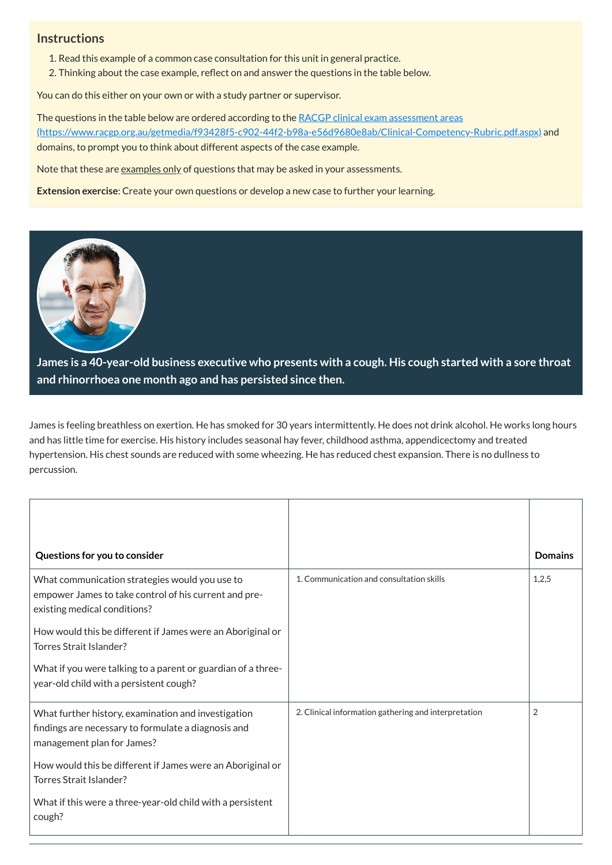## **Instructions**

- 1. Read this example of a common case consultation for this unit in general practice.
- 2. Thinking about the case example, reflect on and answer the questions in the table below.

You can do this either on your own or with a study partner or supervisor.

The questions in the table below are ordered according to the RACGP clinical exam assessment areas [\(https://www.racgp.org.au/getmedia/f93428f5-c902-44f2-b98a-e56d9680e8ab/Clinical-Competency-Rubric.pdf.aspx\)](https://www.racgp.org.au/getmedia/f93428f5-c902-44f2-b98a-e56d9680e8ab/Clinical-Competency-Rubric.pdf.aspx) and domains, to prompt you to think about different aspects of the case example.

Note that these are examples only of questions that may be asked in your assessments.

**Extension exercise**: Create your own questions or develop a new case to further your learning.



**James is a 40-year-old business executive who presents with a cough. His cough started with a sore throat and rhinorrhoea one month ago and has persisted since then.**

<span id="page-4-0"></span>James is feeling breathless on exertion. He has smoked for 30 years intermittently. He does not drink alcohol. He works long hours and has little time for exercise. His history includes seasonal hay fever, childhood asthma, appendicectomy and treated hypertension. His chest sounds are reduced with some wheezing. He has reduced chest expansion. There is no dullness to percussion.

| Questions for you to consider                                                                                                           |                                          | <b>Domains</b> |
|-----------------------------------------------------------------------------------------------------------------------------------------|------------------------------------------|----------------|
| What communication strategies would you use to<br>empower James to take control of his current and pre-<br>existing medical conditions? | 1. Communication and consultation skills | 1,2,5          |
| How would this be different if James were an Aboriginal or<br>Torres Strait Islander?                                                   |                                          |                |

| What if you were talking to a parent or guardian of a three-<br>year-old child with a persistent cough?                                  |                                                      |   |
|------------------------------------------------------------------------------------------------------------------------------------------|------------------------------------------------------|---|
| What further history, examination and investigation<br>findings are necessary to formulate a diagnosis and<br>management plan for James? | 2. Clinical information gathering and interpretation | 2 |
| How would this be different if James were an Aboriginal or<br>Torres Strait Islander?                                                    |                                                      |   |
| What if this were a three-year-old child with a persistent<br>cough?                                                                     |                                                      |   |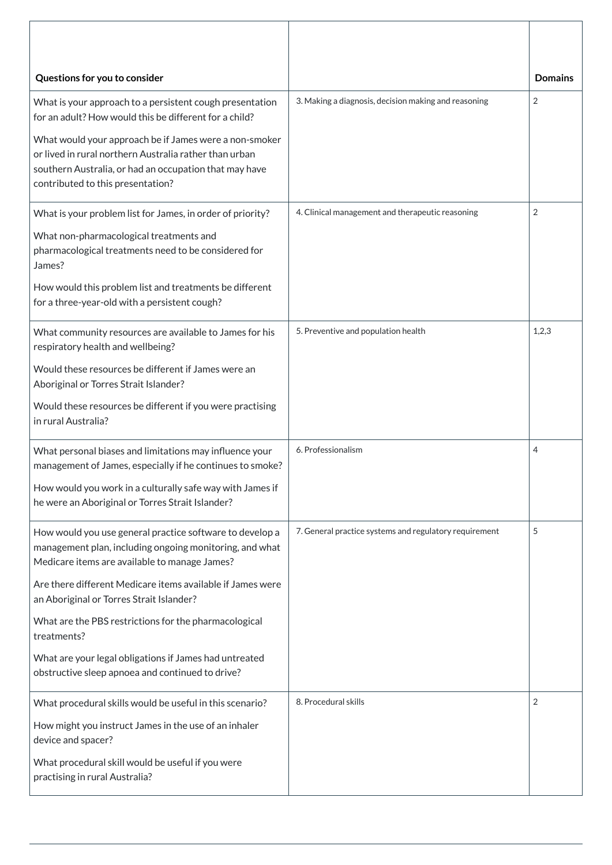| Questions for you to consider                                                                                                                                                                                   |                                                        | <b>Domains</b> |
|-----------------------------------------------------------------------------------------------------------------------------------------------------------------------------------------------------------------|--------------------------------------------------------|----------------|
| What is your approach to a persistent cough presentation<br>for an adult? How would this be different for a child?                                                                                              | 3. Making a diagnosis, decision making and reasoning   | $\overline{2}$ |
| What would your approach be if James were a non-smoker<br>or lived in rural northern Australia rather than urban<br>southern Australia, or had an occupation that may have<br>contributed to this presentation? |                                                        |                |
| What is your problem list for James, in order of priority?                                                                                                                                                      | 4. Clinical management and therapeutic reasoning       | 2              |
| What non-pharmacological treatments and<br>pharmacological treatments need to be considered for<br>James?                                                                                                       |                                                        |                |
| How would this problem list and treatments be different<br>for a three-year-old with a persistent cough?                                                                                                        |                                                        |                |
| What community resources are available to James for his<br>respiratory health and wellbeing?                                                                                                                    | 5. Preventive and population health                    | 1,2,3          |
| Would these resources be different if James were an<br>Aboriginal or Torres Strait Islander?                                                                                                                    |                                                        |                |
| Would these resources be different if you were practising<br>in rural Australia?                                                                                                                                |                                                        |                |
| What personal biases and limitations may influence your<br>management of James, especially if he continues to smoke?                                                                                            | 6. Professionalism                                     | 4              |
| How would you work in a culturally safe way with James if<br>he were an Aboriginal or Torres Strait Islander?                                                                                                   |                                                        |                |
| How would you use general practice software to develop a<br>management plan, including ongoing monitoring, and what<br>Medicare items are available to manage James?                                            | 7. General practice systems and regulatory requirement | 5              |
| Are there different Medicare items available if James were<br>an Aboriginal or Torres Strait Islander?                                                                                                          |                                                        |                |
| What are the PBS restrictions for the pharmacological<br>treatments?                                                                                                                                            |                                                        |                |
| What are your legal obligations if James had untreated<br>obstructive sleep apnoea and continued to drive?                                                                                                      |                                                        |                |
| What procedural skills would be useful in this scenario?                                                                                                                                                        | 8. Procedural skills                                   | $\overline{2}$ |
| How might you instruct James in the use of an inhaler<br>device and spacer?                                                                                                                                     |                                                        |                |
| What procedural skill would be useful if you were<br>practising in rural Australia?                                                                                                                             |                                                        |                |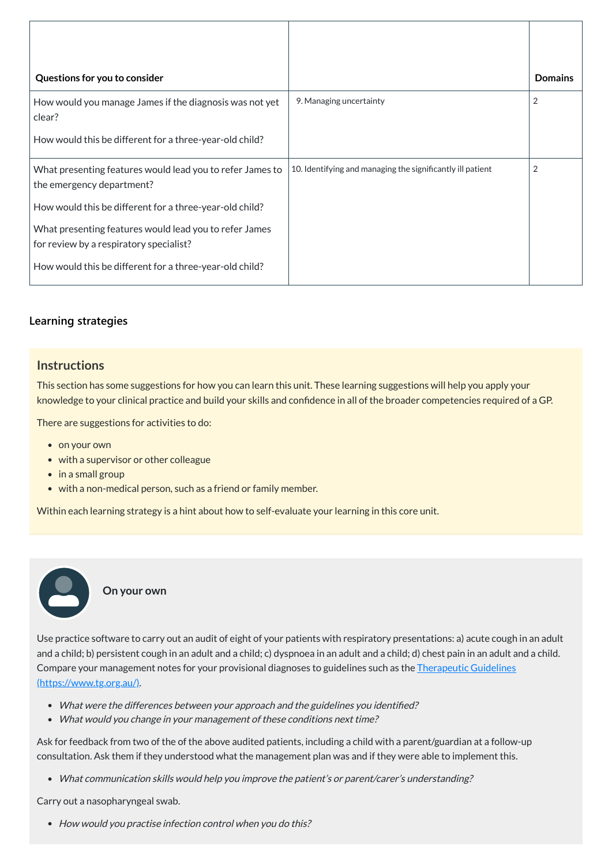| Questions for you to consider                                                                     |                                                            | <b>Domains</b> |
|---------------------------------------------------------------------------------------------------|------------------------------------------------------------|----------------|
| How would you manage James if the diagnosis was not yet<br>clear?                                 | 9. Managing uncertainty                                    | $\overline{2}$ |
| How would this be different for a three-year-old child?                                           |                                                            |                |
| What presenting features would lead you to refer James to<br>the emergency department?            | 10. Identifying and managing the significantly ill patient | $\overline{2}$ |
| How would this be different for a three-year-old child?                                           |                                                            |                |
| What presenting features would lead you to refer James<br>for review by a respiratory specialist? |                                                            |                |
| How would this be different for a three-year-old child?                                           |                                                            |                |

## **[Learning strategies](javascript:void(0))**

## **Instructions**

This section has some suggestions for how you can learn this unit. These learning suggestions will help you apply your knowledge to your clinical practice and build your skills and confidence in all of the broader competencies required of a GP.

- What were the differences between your approach and the guidelines you identified?
- What would you change in your management of these conditions next time?

There are suggestions for activities to do:

- on your own
- with a supervisor or other colleague
- in a small group

 $\bullet$  $\bullet$ 

• with a non-medical person, such as a friend or family member.

Within each learning strategy is a hint about how to self-evaluate your learning in this core unit.

**On your own**

Use practice software to carry out an audit of eight of your patients with respiratory presentations: a) acute cough in an adult and a child; b) persistent cough in an adult and a child; c) dyspnoea in an adult and a child; d) chest pain in an adult and a child. Compare your management notes for your provisional diagnoses to guidelines such as the Therapeutic Guidelines [\(https://www.tg.org.au/\).](https://www.tg.org.au/)

Ask for feedback from two of the of the above audited patients, including a child with a parent/guardian at a follow-up consultation. Ask them if they understood what the management plan was and if they were able to implement this.

What communication skills would help you improve the patient's or parent/carer's understanding?

Carry out a nasopharyngeal swab.

• How would you practise infection control when you do this?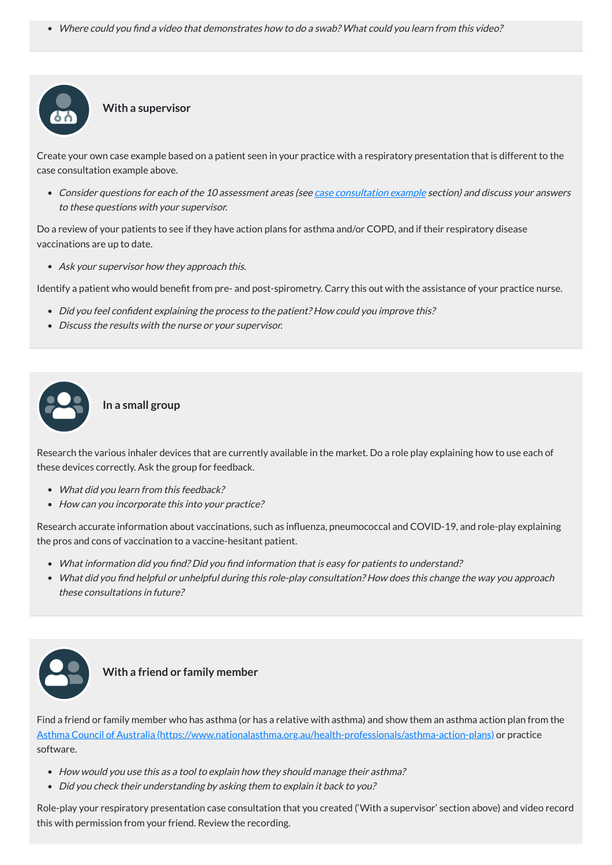Where could you find <sup>a</sup> video that demonstrates how to do <sup>a</sup> swab? What could you learn from this video?

#### **With a supervisor**

Create your own case example based on a patient seen in your practice with a respiratory presentation that is different to the case consultation example above.

• Consider questions for each of the 10 assessment areas (see case [consultation](#page-4-0) example section) and discuss your answers to these questions with your supervisor.

- Did you feel confident explaining the process to the patient? How could you improve this?
- Discuss the results with the nurse or your supervisor.

Do a review of your patients to see if they have action plans for asthma and/or COPD, and if their respiratory disease vaccinations are up to date.

• Ask your supervisor how they approach this.

- What did you learn from this feedback?
- How can you incorporate this into your practice?

Identify a patient who would benefit from pre- and post-spirometry. Carry this out with the assistance of your practice nurse.

#### **In a small group**

Research the various inhaler devices that are currently available in the market. Do a role play explaining how to use each of these devices correctly. Ask the group for feedback.

Research accurate information about vaccinations, such as influenza, pneumococcal and COVID-19, and role-play explaining the pros and cons of vaccination to a vaccine-hesitant patient.

- What information did you find? Did you find information that is easy for patients to understand?
- What did you find helpful or unhelpful during this role-play consultation? How does this change the way you approach these consultations in future?





## **With a friend or family member**

Find a friend or family member who has asthma (or has a relative with asthma) and show them an asthma action plan from the Asthma Council of Australia [\(https://www.nationalasthma.org.au/health-professionals/asthma-action-plans\)](https://www.nationalasthma.org.au/health-professionals/asthma-action-plans) or practice software.

- How would you use this as a tool to explain how they should manage their asthma?
- Did you check their understanding by asking them to explain it back to you?

Role-play your respiratory presentation case consultation that you created ('With a supervisor' section above) and video record this with permission from your friend. Review the recording.



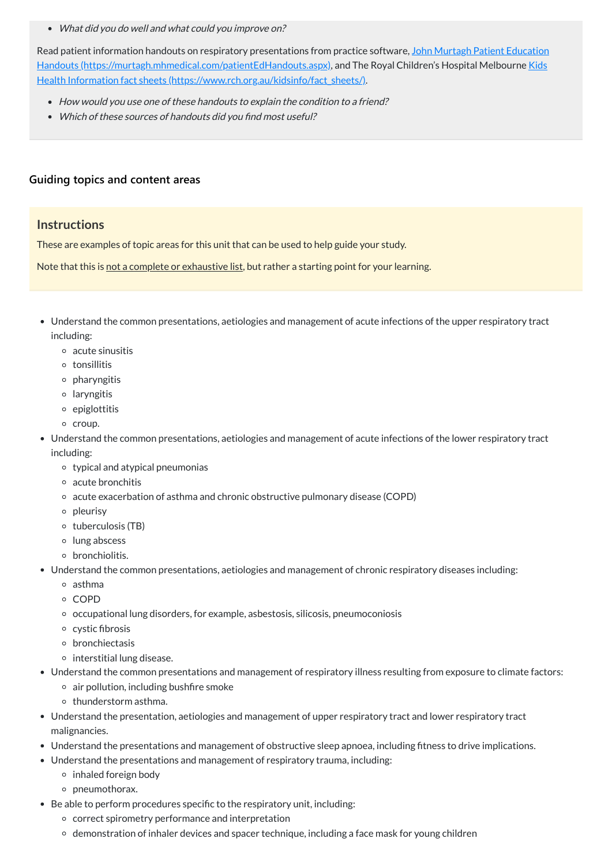What did you do well and what could you improve on?

Read patient information handouts on respiratory presentations from practice software, John Murtagh Patient Education Handouts [\(https://murtagh.mhmedical.com/patientEdHandouts.aspx\),](https://murtagh.mhmedical.com/patientEdHandouts.aspx) and The Royal Children's Hospital Melbourne Kids Health Information fact sheets (https://www.rch.org.au/kidsinfo/fact\_sheets/).

- Understand the common presentations, aetiologies and management of acute infections of the upper respiratory tract including:
	- acute sinusitis
	- tonsillitis
	- pharyngitis
	- laryngitis
	- $\circ$  epiglottitis
	- o croup.
- Understand the common presentations, aetiologies and management of acute infections of the lower respiratory tract including:
	- $\circ$  typical and atypical pneumonias
	- acute bronchitis
	- acute exacerbation of asthma and chronic obstructive pulmonary disease (COPD)
	- o pleurisy
	- $\circ$  tuberculosis (TB)
	- lung abscess
	- o bronchiolitis.
- Understand the common presentations, aetiologies and management of chronic respiratory diseases including:
	- asthma
	- COPD
	- occupational lung disorders, for example, asbestosis, silicosis, pneumoconiosis
	- $\circ$  cystic fibrosis
	- o bronchiectasis

 $\circ$  interstitial lung disease.

- How would you use one of these handouts to explain the condition to <sup>a</sup> friend?
- Which of these sources of handouts did you find most useful?

## **[Guiding topics and content areas](javascript:void(0))**

## **Instructions**

These are examples of topic areas for this unit that can be used to help guide your study.

Note that this is not a complete or exhaustive list, but rather a starting point for your learning.

- Understand the common presentations and management of respiratory illness resulting from exposure to climate factors:
	- $\circ$  air pollution, including bushfire smoke
	- $\circ$  thunderstorm asthma.
- Understand the presentation, aetiologies and management of upper respiratory tract and lower respiratory tract malignancies.
- Understand the presentations and management of obstructive sleep apnoea, including fitness to drive implications.
- Understand the presentations and management of respiratory trauma, including:
	- $\circ$  inhaled foreign body
	- o pneumothorax.
- Be able to perform procedures specific to the respiratory unit, including:
	- correct spirometry performance and interpretation
	- o demonstration of inhaler devices and spacer technique, including a face mask for young children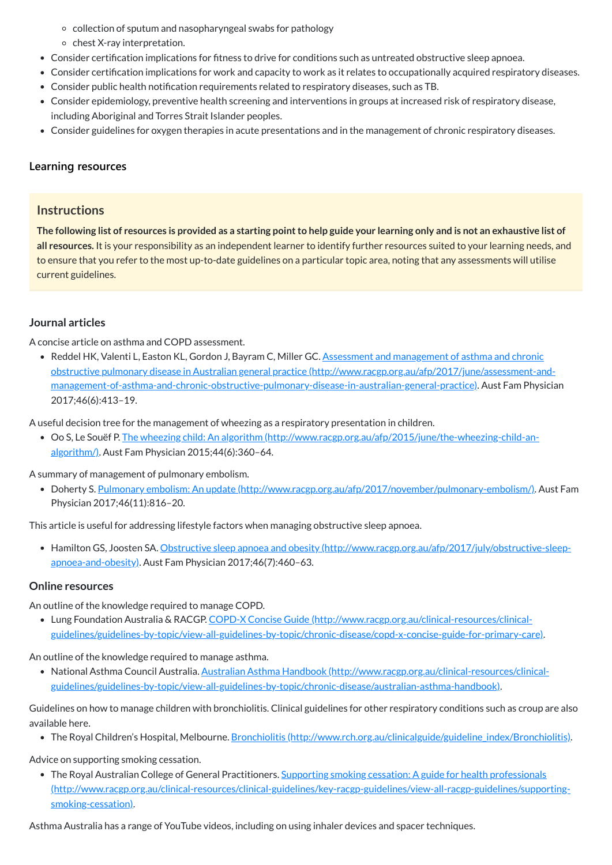- collection of sputum and nasopharyngeal swabs for pathology
- $\circ$  chest X-ray interpretation.
- Consider certification implications for fitness to drive for conditions such as untreated obstructive sleep apnoea.
- Consider certification implications for work and capacity to work as it relates to occupationally acquired respiratory diseases.
- Consider public health notification requirements related to respiratory diseases, such as TB.
- Consider epidemiology, preventive health screening and interventions in groups at increased risk of respiratory disease, including Aboriginal and Torres Strait Islander peoples.
- Consider guidelines for oxygen therapies in acute presentations and in the management of chronic respiratory diseases.

The following list of resources is provided as a starting point to help guide your learning only and is not an exhaustive list of **all resources.** It is your responsibility as an independent learner to identify further resources suited to your learning needs, and to ensure that you refer to the most up-to-date guidelines on a particular topic area, noting that any assessments will utilise current guidelines.

## **[Learning resources](javascript:void(0))**

## **Instructions**

• Reddel HK, Valenti L, Easton KL, Gordon J, Bayram C, Miller GC. Assessment and management of asthma and chronic obstructive pulmonary disease in Australian general practice (http://www.racgp.org.au/afp/2017/june/assessment-and[management-of-asthma-and-chronic-obstructive-pulmonary-disease-in-australian-general-practice\).](http://www.racgp.org.au/afp/2017/june/assessment-and-management-of-asthma-and-chronic-obstructive-pulmonary-disease-in-australian-general-practice) Aust Fam Physician 2017;46(6):413–19.

• Hamilton GS, Joosten SA. Obstructive sleep apnoea and obesity [\(http://www.racgp.org.au/afp/2017/july/obstructive-sleep](http://www.racgp.org.au/afp/2017/july/obstructive-sleep-apnoea-and-obesity)apnoea-and-obesity). Aust Fam Physician 2017;46(7):460–63.

## **Journal articles**

A concise article on asthma and COPD assessment.

A useful decision tree for the management of wheezing as a respiratory presentation in children.

• The Royal Australian College of General Practitioners. Supporting smoking cessation: A guide for health professionals [\(http://www.racgp.org.au/clinical-resources/clinical-guidelines/key-racgp-guidelines/view-all-racgp-guidelines/supporting](http://www.racgp.org.au/clinical-resources/clinical-guidelines/key-racgp-guidelines/view-all-racgp-guidelines/supporting-smoking-cessation)smoking-cessation).

Oo S, Le Souëf P. The wheezing child: An algorithm [\(http://www.racgp.org.au/afp/2015/june/the-wheezing-child-an](http://www.racgp.org.au/afp/2015/june/the-wheezing-child-an-algorithm/)algorithm/). Aust Fam Physician 2015;44(6):360–64.

A summary of management of pulmonary embolism.

Doherty S. Pulmonary embolism: An update [\(http://www.racgp.org.au/afp/2017/november/pulmonary-embolism/\).](http://www.racgp.org.au/afp/2017/november/pulmonary-embolism/) Aust Fam Physician 2017;46(11):816–20.

This article is useful for addressing lifestyle factors when managing obstructive sleep apnoea.

#### **Online resources**

An outline of the knowledge required to manage COPD.

Lung Foundation Australia & RACGP. COPD-X Concise Guide (http://www.racgp.org.au/clinical-resources/clinical[guidelines/guidelines-by-topic/view-all-guidelines-by-topic/chronic-disease/copd-x-concise-guide-for-primary-care\).](http://www.racgp.org.au/clinical-resources/clinical-guidelines/guidelines-by-topic/view-all-guidelines-by-topic/chronic-disease/copd-x-concise-guide-for-primary-care)

An outline of the knowledge required to manage asthma.

National Asthma Council Australia. Australian Asthma Handbook (http://www.racgp.org.au/clinical-resources/clinical-

[guidelines/guidelines-by-topic/view-all-guidelines-by-topic/chronic-disease/australian-asthma-handbook\).](http://www.racgp.org.au/clinical-resources/clinical-guidelines/guidelines-by-topic/view-all-guidelines-by-topic/chronic-disease/australian-asthma-handbook)

Guidelines on how to manage children with bronchiolitis. Clinical guidelines for other respiratory conditions such as croup are also available here.

• The Royal Children's Hospital, Melbourne. Bronchiolitis [\(http://www.rch.org.au/clinicalguide/guideline\\_index/Bronchiolitis\)](http://www.rch.org.au/clinicalguide/guideline_index/Bronchiolitis).

#### Advice on supporting smoking cessation.

Asthma Australia has a range of YouTube videos, including on using inhaler devices and spacer techniques.